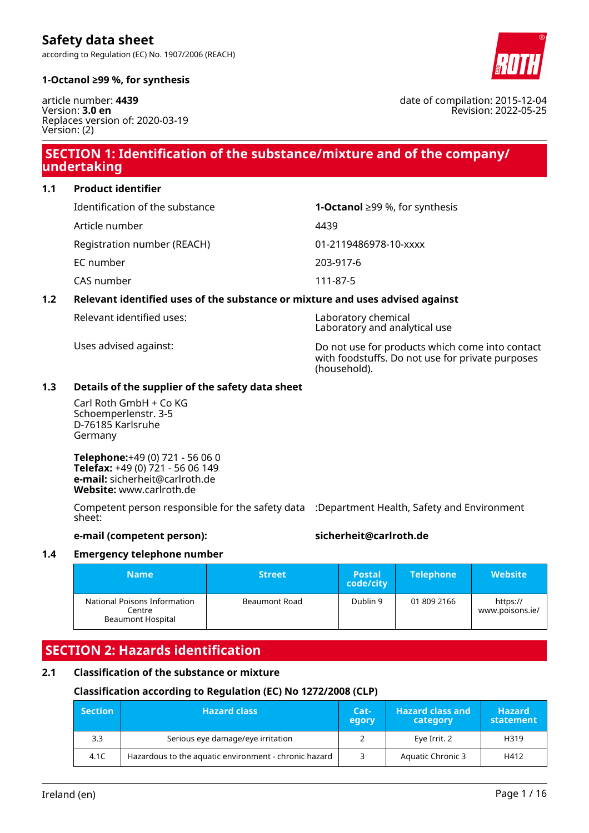according to Regulation (EC) No. 1907/2006 (REACH)



#### **1-Octanol ≥99 %, for synthesis**

article number: **4439** Version: **3.0 en** Replaces version of: 2020-03-19 Version: (2)

# **SECTION 1: Identification of the substance/mixture and of the company/ undertaking**

**1.1 Product identifier**

| Identification of the substance | <b>1-Octanol</b> ≥99 %, for synthesis |
|---------------------------------|---------------------------------------|
| Article number                  | 4439                                  |
| Registration number (REACH)     | 01-2119486978-10-xxxx                 |
| EC number                       | 203-917-6                             |
| CAS number                      | 111-87-5                              |

### **1.2 Relevant identified uses of the substance or mixture and uses advised against**

Relevant identified uses: Laboratory chemical

Laboratory and analytical use Uses advised against: Do not use for products which come into contact

with foodstuffs. Do not use for private purposes (household).

# **1.3 Details of the supplier of the safety data sheet**

Carl Roth GmbH + Co KG Schoemperlenstr. 3-5 D-76185 Karlsruhe Germany

**Telephone:**+49 (0) 721 - 56 06 0 **Telefax:** +49 (0) 721 - 56 06 149 **e-mail:** sicherheit@carlroth.de **Website:** www.carlroth.de

Competent person responsible for the safety data :Department Health, Safety and Environment sheet:

### **e-mail (competent person): sicherheit@carlroth.de**

#### **1.4 Emergency telephone number**

| Namel                                                              | <b>Street</b> | <b>Postal</b><br>code/city | <b>Telephone</b> | <b>Website</b>              |
|--------------------------------------------------------------------|---------------|----------------------------|------------------|-----------------------------|
| National Poisons Information<br>Centre<br><b>Beaumont Hospital</b> | Beaumont Road | Dublin 9                   | 01 809 2166      | https://<br>www.poisons.ie/ |

# **SECTION 2: Hazards identification**

# **2.1 Classification of the substance or mixture**

# **Classification according to Regulation (EC) No 1272/2008 (CLP)**

| <b>Section</b> | <b>Hazard class</b>                                   |  | <b>Hazard class and</b><br>category | <b>Hazard</b><br>statement |
|----------------|-------------------------------------------------------|--|-------------------------------------|----------------------------|
| 3.3            | Serious eye damage/eye irritation                     |  | Eye Irrit. 2                        | H319                       |
| 4.1C           | Hazardous to the aquatic environment - chronic hazard |  | Aquatic Chronic 3                   | H412                       |

date of compilation: 2015-12-04 Revision: 2022-05-25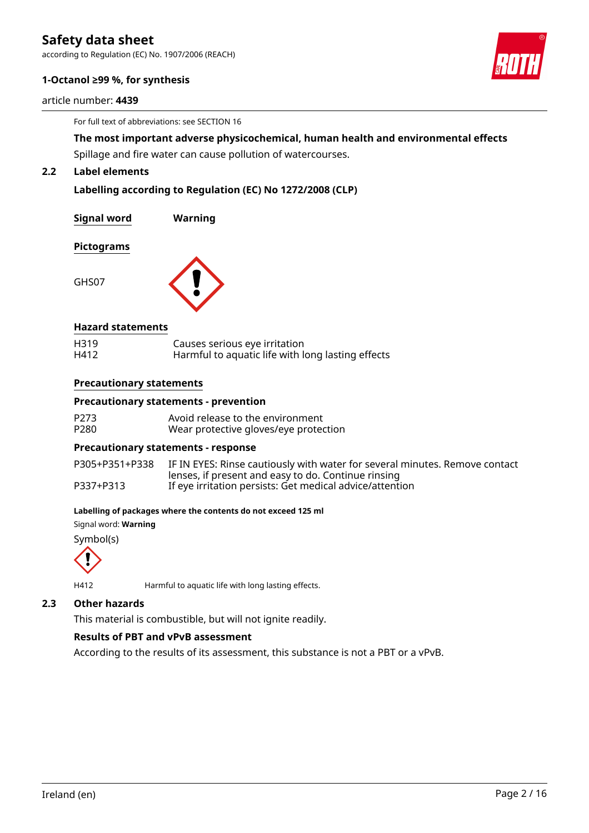according to Regulation (EC) No. 1907/2006 (REACH)

#### **1-Octanol ≥99 %, for synthesis**

article number: **4439**

For full text of abbreviations: see SECTION 16

**The most important adverse physicochemical, human health and environmental effects**

Spillage and fire water can cause pollution of watercourses.

# **2.2 Label elements**

**Labelling according to Regulation (EC) No 1272/2008 (CLP)**

**Signal word Warning**

#### **Pictograms**

GHS07



#### **Hazard statements**

| H319 | Causes serious eye irritation                     |
|------|---------------------------------------------------|
| H412 | Harmful to aquatic life with long lasting effects |

#### **Precautionary statements**

#### **Precautionary statements - prevention**

| P273 | Avoid release to the environment      |
|------|---------------------------------------|
| P280 | Wear protective gloves/eye protection |

#### **Precautionary statements - response**

| P305+P351+P338 | IF IN EYES: Rinse cautiously with water for several minutes. Remove contact |
|----------------|-----------------------------------------------------------------------------|
|                | lenses, if present and easy to do. Continue rinsing                         |
| P337+P313      | If eye irritation persists: Get medical advice/attention                    |

#### **Labelling of packages where the contents do not exceed 125 ml**

Signal word: **Warning**

Symbol(s)



H412 Harmful to aquatic life with long lasting effects.

#### **2.3 Other hazards**

This material is combustible, but will not ignite readily.

### **Results of PBT and vPvB assessment**

According to the results of its assessment, this substance is not a PBT or a vPvB.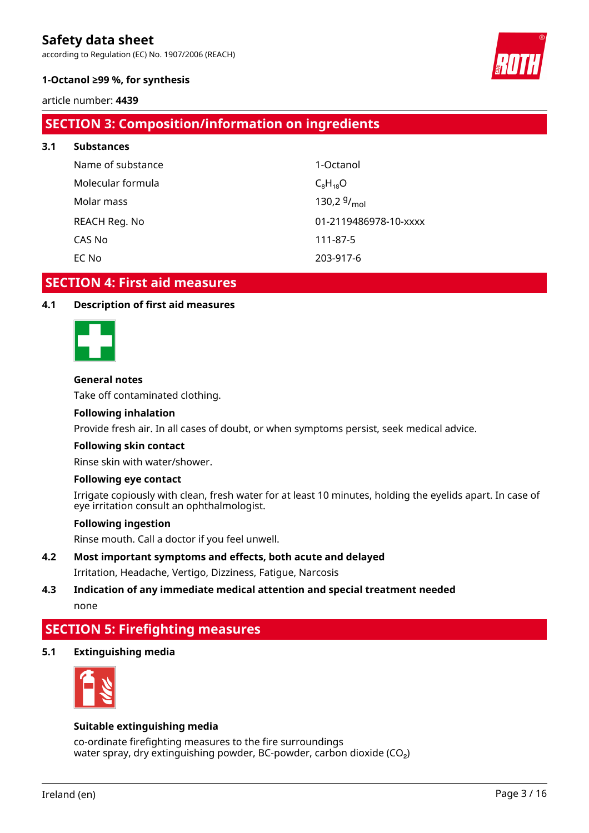according to Regulation (EC) No. 1907/2006 (REACH)



## **1-Octanol ≥99 %, for synthesis**

article number: **4439**

# **SECTION 3: Composition/information on ingredients**

| 3.1 | <b>Substances</b> |                       |
|-----|-------------------|-----------------------|
|     | Name of substance | 1-Octanol             |
|     | Molecular formula | $C_8H_{18}O$          |
|     | Molar mass        | 130,2 $9/_{mol}$      |
|     | REACH Reg. No     | 01-2119486978-10-xxxx |
|     | CAS No            | 111-87-5              |
|     | EC No             | 203-917-6             |
|     |                   |                       |

# **SECTION 4: First aid measures**

# **4.1 Description of first aid measures**



### **General notes**

Take off contaminated clothing.

### **Following inhalation**

Provide fresh air. In all cases of doubt, or when symptoms persist, seek medical advice.

#### **Following skin contact**

Rinse skin with water/shower.

#### **Following eye contact**

Irrigate copiously with clean, fresh water for at least 10 minutes, holding the eyelids apart. In case of eye irritation consult an ophthalmologist.

#### **Following ingestion**

Rinse mouth. Call a doctor if you feel unwell.

- **4.2 Most important symptoms and effects, both acute and delayed** Irritation, Headache, Vertigo, Dizziness, Fatigue, Narcosis
- **4.3 Indication of any immediate medical attention and special treatment needed** none

# **SECTION 5: Firefighting measures**

**5.1 Extinguishing media**



#### **Suitable extinguishing media**

co-ordinate firefighting measures to the fire surroundings water spray, dry extinguishing powder, BC-powder, carbon dioxide  $(CO<sub>2</sub>)$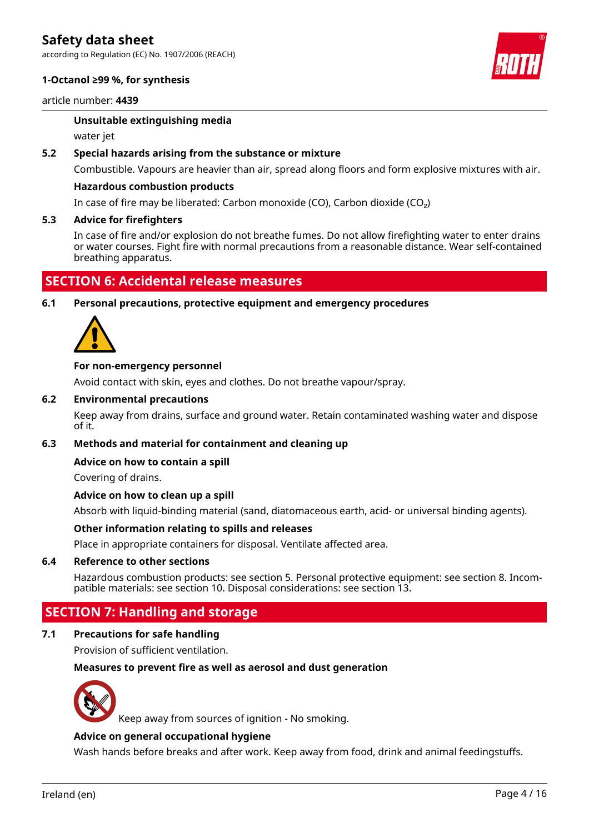according to Regulation (EC) No. 1907/2006 (REACH)

#### **1-Octanol ≥99 %, for synthesis**

article number: **4439**

#### **Unsuitable extinguishing media**

water jet

#### **5.2 Special hazards arising from the substance or mixture**

Combustible. Vapours are heavier than air, spread along floors and form explosive mixtures with air.

#### **Hazardous combustion products**

In case of fire may be liberated: Carbon monoxide (CO), Carbon dioxide (CO₂)

#### **5.3 Advice for firefighters**

In case of fire and/or explosion do not breathe fumes. Do not allow firefighting water to enter drains or water courses. Fight fire with normal precautions from a reasonable distance. Wear self-contained breathing apparatus.

# **SECTION 6: Accidental release measures**

**6.1 Personal precautions, protective equipment and emergency procedures**



#### **For non-emergency personnel**

Avoid contact with skin, eyes and clothes. Do not breathe vapour/spray.

#### **6.2 Environmental precautions**

Keep away from drains, surface and ground water. Retain contaminated washing water and dispose of it.

#### **6.3 Methods and material for containment and cleaning up**

#### **Advice on how to contain a spill**

Covering of drains.

#### **Advice on how to clean up a spill**

Absorb with liquid-binding material (sand, diatomaceous earth, acid- or universal binding agents).

#### **Other information relating to spills and releases**

Place in appropriate containers for disposal. Ventilate affected area.

#### **6.4 Reference to other sections**

Hazardous combustion products: see section 5. Personal protective equipment: see section 8. Incompatible materials: see section 10. Disposal considerations: see section 13.

# **SECTION 7: Handling and storage**

#### **7.1 Precautions for safe handling**

Provision of sufficient ventilation.

#### **Measures to prevent fire as well as aerosol and dust generation**



Keep away from sources of ignition - No smoking.

#### **Advice on general occupational hygiene**

Wash hands before breaks and after work. Keep away from food, drink and animal feedingstuffs.



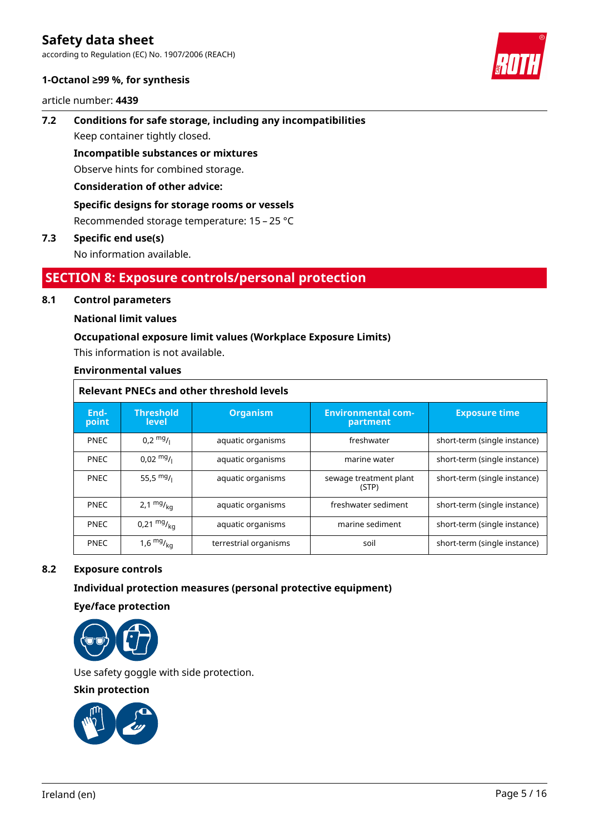according to Regulation (EC) No. 1907/2006 (REACH)

#### **1-Octanol ≥99 %, for synthesis**

article number: **4439**

# **7.2 Conditions for safe storage, including any incompatibilities** Keep container tightly closed.

**Incompatible substances or mixtures**

Observe hints for combined storage.

# **Consideration of other advice:**

# **Specific designs for storage rooms or vessels**

Recommended storage temperature: 15 – 25 °C

# **7.3 Specific end use(s)**

No information available.

# **SECTION 8: Exposure controls/personal protection**

# **8.1 Control parameters**

# **National limit values**

# **Occupational exposure limit values (Workplace Exposure Limits)**

This information is not available.

### **Environmental values**

| <b>Relevant PNECs and other threshold levels</b> |                                                                                       |                       |                                 |                              |  |  |
|--------------------------------------------------|---------------------------------------------------------------------------------------|-----------------------|---------------------------------|------------------------------|--|--|
| End-<br>point                                    | <b>Threshold</b><br><b>Environmental com-</b><br><b>Organism</b><br>level<br>partment |                       | <b>Exposure time</b>            |                              |  |  |
| <b>PNEC</b>                                      | $0.2 \frac{mg}{l}$                                                                    | aquatic organisms     | freshwater                      | short-term (single instance) |  |  |
| <b>PNEC</b>                                      | $0.02 \frac{mg}{L}$                                                                   | aquatic organisms     | marine water                    | short-term (single instance) |  |  |
| <b>PNEC</b>                                      | 55,5 $mg/1$                                                                           | aquatic organisms     | sewage treatment plant<br>(STP) | short-term (single instance) |  |  |
| <b>PNEC</b>                                      | 2,1 $mg/_{kq}$                                                                        | aquatic organisms     | freshwater sediment             | short-term (single instance) |  |  |
| <b>PNEC</b>                                      | 0,21 $mg/_{kq}$                                                                       | aquatic organisms     | marine sediment                 | short-term (single instance) |  |  |
| <b>PNEC</b>                                      | 1,6 $mg/kq$                                                                           | terrestrial organisms | soil                            | short-term (single instance) |  |  |

# **8.2 Exposure controls**

# **Individual protection measures (personal protective equipment)**

**Eye/face protection**



Use safety goggle with side protection.

**Skin protection**

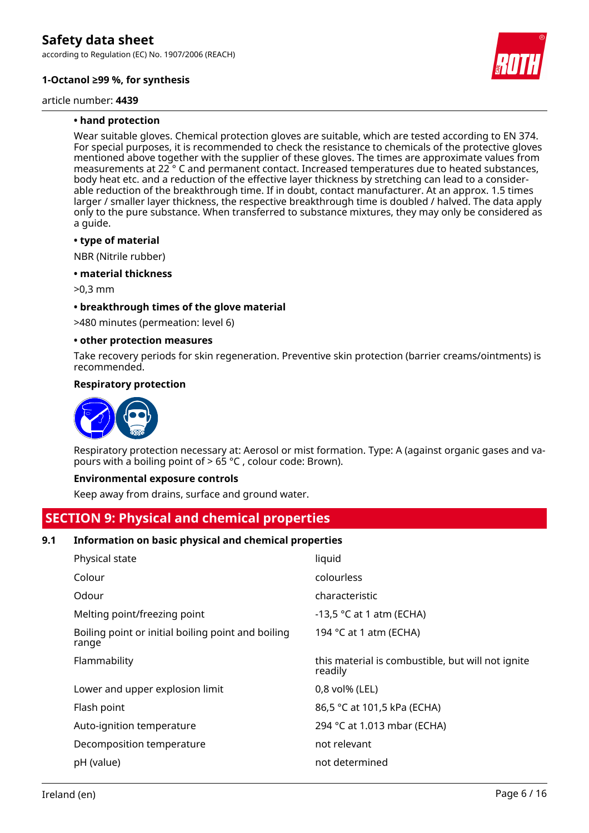according to Regulation (EC) No. 1907/2006 (REACH)

### **1-Octanol ≥99 %, for synthesis**

article number: **4439**

#### **• hand protection**

Wear suitable gloves. Chemical protection gloves are suitable, which are tested according to EN 374. For special purposes, it is recommended to check the resistance to chemicals of the protective gloves mentioned above together with the supplier of these gloves. The times are approximate values from measurements at 22 ° C and permanent contact. Increased temperatures due to heated substances, body heat etc. and a reduction of the effective layer thickness by stretching can lead to a considerable reduction of the breakthrough time. If in doubt, contact manufacturer. At an approx. 1.5 times larger / smaller layer thickness, the respective breakthrough time is doubled / halved. The data apply only to the pure substance. When transferred to substance mixtures, they may only be considered as a guide.

#### **• type of material**

NBR (Nitrile rubber)

#### **• material thickness**

>0,3 mm

#### **• breakthrough times of the glove material**

>480 minutes (permeation: level 6)

#### **• other protection measures**

Take recovery periods for skin regeneration. Preventive skin protection (barrier creams/ointments) is recommended.

#### **Respiratory protection**



Respiratory protection necessary at: Aerosol or mist formation. Type: A (against organic gases and vapours with a boiling point of  $> 65$  °C, colour code: Brown).

#### **Environmental exposure controls**

Keep away from drains, surface and ground water.

# **SECTION 9: Physical and chemical properties**

#### **9.1 Information on basic physical and chemical properties**

| Physical state                                              | liquid                                                       |
|-------------------------------------------------------------|--------------------------------------------------------------|
| Colour                                                      | colourless                                                   |
| Odour                                                       | characteristic                                               |
| Melting point/freezing point                                | -13,5 $\degree$ C at 1 atm (ECHA)                            |
| Boiling point or initial boiling point and boiling<br>range | 194 °C at 1 atm (ECHA)                                       |
| Flammability                                                | this material is combustible, but will not ignite<br>readily |
| Lower and upper explosion limit                             | 0,8 vol% (LEL)                                               |
| Flash point                                                 | 86,5 °C at 101,5 kPa (ECHA)                                  |
| Auto-ignition temperature                                   | 294 °C at 1.013 mbar (ECHA)                                  |
| Decomposition temperature                                   | not relevant                                                 |
| pH (value)                                                  | not determined                                               |
|                                                             |                                                              |

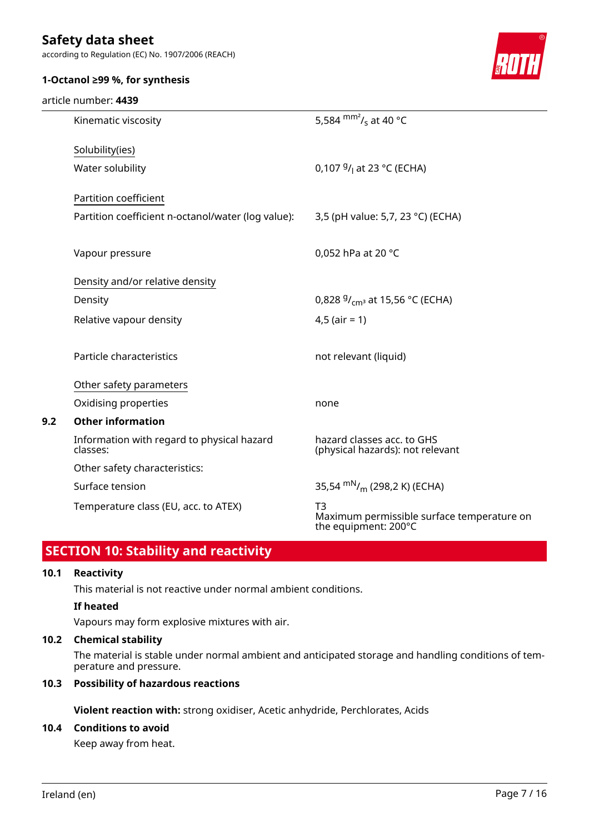according to Regulation (EC) No. 1907/2006 (REACH)



## **1-Octanol ≥99 %, for synthesis**

#### article number: **4439**

|     | Kinematic viscosity                                    | 5,584 $\text{mm}^2$ / <sub>s</sub> at 40 °C                              |
|-----|--------------------------------------------------------|--------------------------------------------------------------------------|
|     | Solubility(ies)                                        |                                                                          |
|     | Water solubility                                       | 0,107 $9/1$ at 23 °C (ECHA)                                              |
|     | Partition coefficient                                  |                                                                          |
|     | Partition coefficient n-octanol/water (log value):     | 3,5 (pH value: 5,7, 23 °C) (ECHA)                                        |
|     | Vapour pressure                                        | 0,052 hPa at 20 °C                                                       |
|     | Density and/or relative density                        |                                                                          |
|     | Density                                                | 0,828 $9/_{cm^3}$ at 15,56 °C (ECHA)                                     |
|     | Relative vapour density                                | $4,5$ (air = 1)                                                          |
|     | Particle characteristics                               | not relevant (liquid)                                                    |
|     | Other safety parameters                                |                                                                          |
|     | Oxidising properties                                   | none                                                                     |
| 9.2 | <b>Other information</b>                               |                                                                          |
|     | Information with regard to physical hazard<br>classes: | hazard classes acc. to GHS<br>(physical hazards): not relevant           |
|     | Other safety characteristics:                          |                                                                          |
|     | Surface tension                                        | 35,54 $\rm{mN/m}$ (298,2 K) (ECHA)                                       |
|     | Temperature class (EU, acc. to ATEX)                   | T3<br>Maximum permissible surface temperature on<br>the equipment: 200°C |
|     |                                                        |                                                                          |

# **SECTION 10: Stability and reactivity**

#### **10.1 Reactivity**

This material is not reactive under normal ambient conditions.

### **If heated**

Vapours may form explosive mixtures with air.

# **10.2 Chemical stability**

The material is stable under normal ambient and anticipated storage and handling conditions of temperature and pressure.

### **10.3 Possibility of hazardous reactions**

**Violent reaction with:** strong oxidiser, Acetic anhydride, Perchlorates, Acids

# **10.4 Conditions to avoid**

Keep away from heat.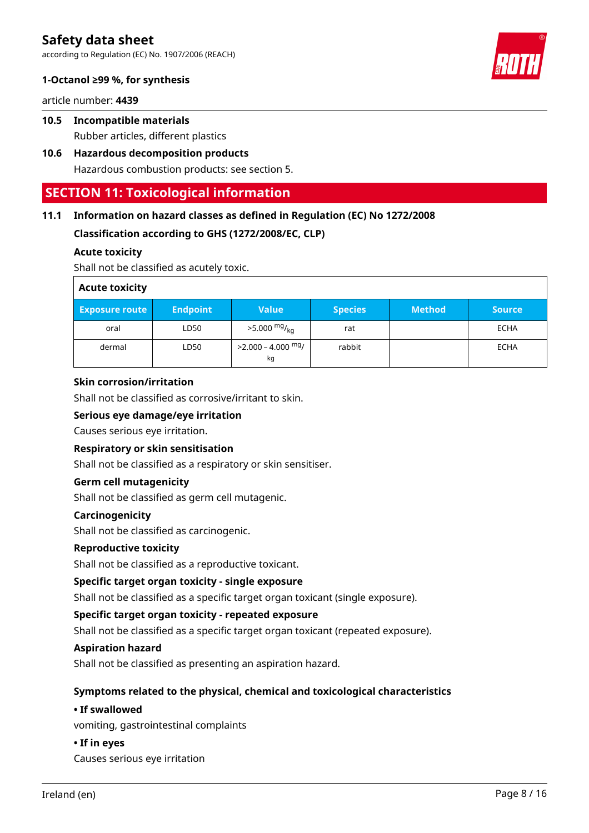according to Regulation (EC) No. 1907/2006 (REACH)



article number: **4439**

- **10.5 Incompatible materials** Rubber articles, different plastics
- **10.6 Hazardous decomposition products** Hazardous combustion products: see section 5.

# **SECTION 11: Toxicological information**

# **11.1 Information on hazard classes as defined in Regulation (EC) No 1272/2008**

**Classification according to GHS (1272/2008/EC, CLP)**

### **Acute toxicity**

Shall not be classified as acutely toxic.

| <b>Acute toxicity</b> |                 |                             |                |               |               |
|-----------------------|-----------------|-----------------------------|----------------|---------------|---------------|
| Exposure route        | <b>Endpoint</b> | <b>Value</b>                | <b>Species</b> | <b>Method</b> | <b>Source</b> |
| oral                  | LD50            | $>5.000 \frac{mg}{ka}$      | rat            |               | <b>ECHA</b>   |
| dermal                | LD50            | $>$ 2.000 – 4.000 mg/<br>kg | rabbit         |               | ECHA          |

### **Skin corrosion/irritation**

Shall not be classified as corrosive/irritant to skin.

### **Serious eye damage/eye irritation**

Causes serious eye irritation.

### **Respiratory or skin sensitisation**

Shall not be classified as a respiratory or skin sensitiser.

### **Germ cell mutagenicity**

Shall not be classified as germ cell mutagenic.

### **Carcinogenicity**

Shall not be classified as carcinogenic.

#### **Reproductive toxicity**

Shall not be classified as a reproductive toxicant.

### **Specific target organ toxicity - single exposure**

Shall not be classified as a specific target organ toxicant (single exposure).

### **Specific target organ toxicity - repeated exposure**

Shall not be classified as a specific target organ toxicant (repeated exposure).

#### **Aspiration hazard**

Shall not be classified as presenting an aspiration hazard.

#### **Symptoms related to the physical, chemical and toxicological characteristics**

#### **• If swallowed**

vomiting, gastrointestinal complaints

#### **• If in eyes**

Causes serious eye irritation

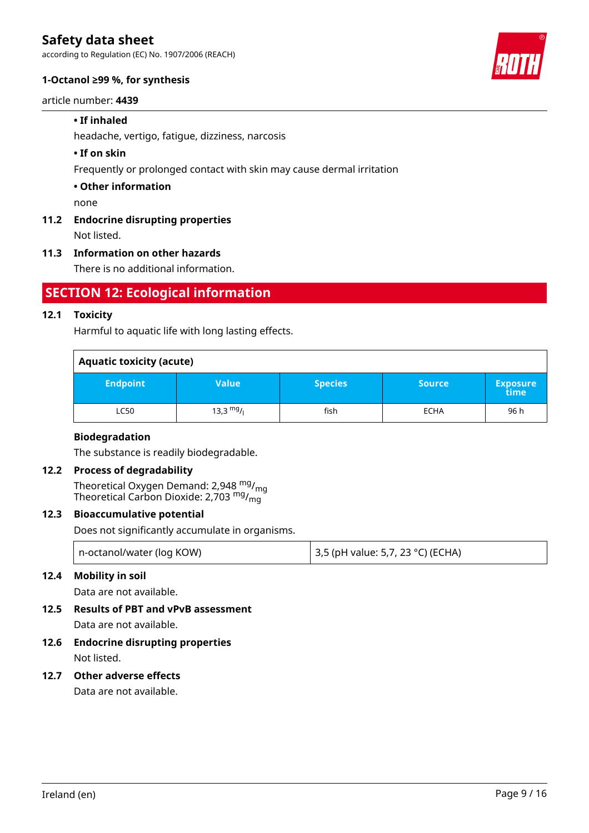according to Regulation (EC) No. 1907/2006 (REACH)

### **1-Octanol ≥99 %, for synthesis**

#### article number: **4439**

### **• If inhaled**

headache, vertigo, fatigue, dizziness, narcosis

#### **• If on skin**

Frequently or prolonged contact with skin may cause dermal irritation

#### **• Other information**

none

# **11.2 Endocrine disrupting properties**

Not listed.

#### **11.3 Information on other hazards**

There is no additional information.

# **SECTION 12: Ecological information**

### **12.1 Toxicity**

Harmful to aquatic life with long lasting effects.

| <b>Aquatic toxicity (acute)</b> |             |                |               |                         |  |
|---------------------------------|-------------|----------------|---------------|-------------------------|--|
| <b>Endpoint</b>                 | Value       | <b>Species</b> | <b>Source</b> | <b>Exposure</b><br>time |  |
| LC50                            | 13,3 $mg/1$ | fish           | <b>ECHA</b>   | 96 h                    |  |

#### **Biodegradation**

The substance is readily biodegradable.

#### **12.2 Process of degradability**

Theoretical Oxygen Demand: 2,948  $^{\mathsf{mg}}_{\mathsf{mg}}$ Theoretical Carbon Dioxide: 2,703 <sup>mg</sup>/<sub>mg</sub>

### **12.3 Bioaccumulative potential**

Does not significantly accumulate in organisms.

| n-octanol/water (log KOW) | $ $ 3,5 (pH value: 5,7, 23 °C) (ECHA) |
|---------------------------|---------------------------------------|
|---------------------------|---------------------------------------|

#### **12.4 Mobility in soil**

Data are not available.

# **12.5 Results of PBT and vPvB assessment**

Data are not available.

# **12.6 Endocrine disrupting properties**

Not listed.

# **12.7 Other adverse effects**

Data are not available.

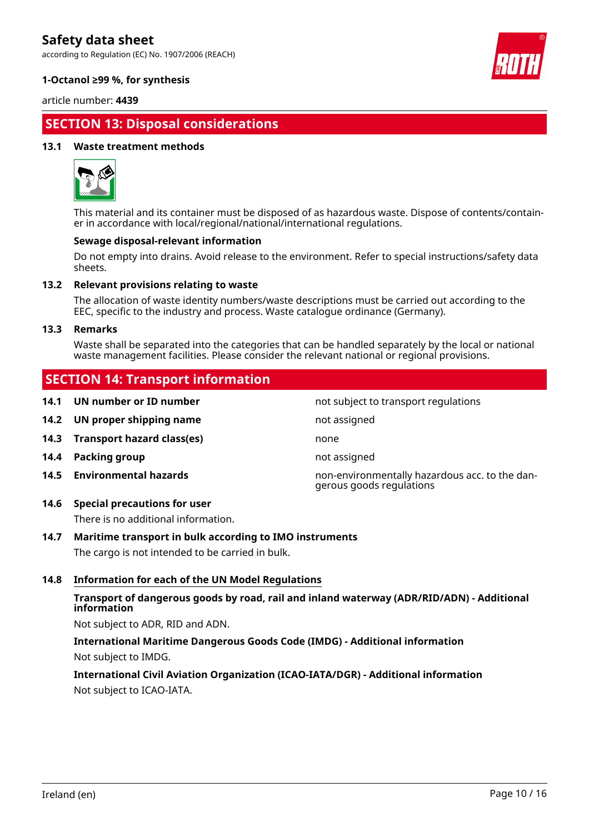according to Regulation (EC) No. 1907/2006 (REACH)



### **1-Octanol ≥99 %, for synthesis**

article number: **4439**

# **SECTION 13: Disposal considerations**

#### **13.1 Waste treatment methods**



This material and its container must be disposed of as hazardous waste. Dispose of contents/container in accordance with local/regional/national/international regulations.

#### **Sewage disposal-relevant information**

Do not empty into drains. Avoid release to the environment. Refer to special instructions/safety data sheets.

#### **13.2 Relevant provisions relating to waste**

The allocation of waste identity numbers/waste descriptions must be carried out according to the EEC, specific to the industry and process. Waste catalogue ordinance (Germany).

#### **13.3 Remarks**

Waste shall be separated into the categories that can be handled separately by the local or national waste management facilities. Please consider the relevant national or regional provisions.

not subject to transport regulations

gerous goods regulations

# **SECTION 14: Transport information**

| 14.1 UN number or ID number |  |
|-----------------------------|--|
|                             |  |

- **14.2 UN proper shipping name** not assigned
- **14.3 Transport hazard class(es)** none
- **14.4 Packing group not assigned**
- **14.5 Environmental hazards** non-environmentally hazardous acc. to the dan-
- **14.6 Special precautions for user**

There is no additional information.

# **14.7 Maritime transport in bulk according to IMO instruments**

The cargo is not intended to be carried in bulk.

# **14.8 Information for each of the UN Model Regulations**

# **Transport of dangerous goods by road, rail and inland waterway (ADR/RID/ADN) - Additional information**

Not subject to ADR, RID and ADN.

# **International Maritime Dangerous Goods Code (IMDG) - Additional information** Not subject to IMDG.

**International Civil Aviation Organization (ICAO-IATA/DGR) - Additional information** Not subject to ICAO-IATA.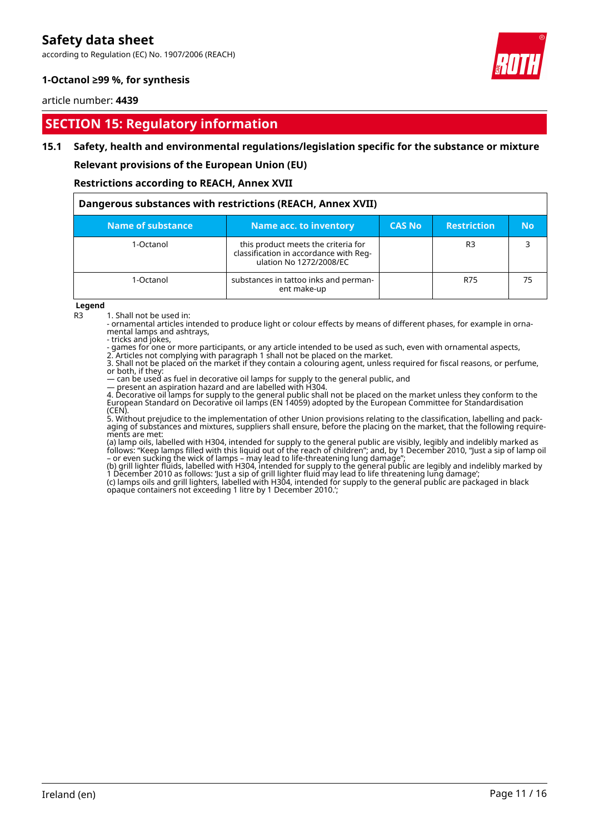according to Regulation (EC) No. 1907/2006 (REACH)



## **1-Octanol ≥99 %, for synthesis**

#### article number: **4439**

# **SECTION 15: Regulatory information**

#### **15.1 Safety, health and environmental regulations/legislation specific for the substance or mixture**

**Relevant provisions of the European Union (EU)**

**Restrictions according to REACH, Annex XVII**

| Dangerous substances with restrictions (REACH, Annex XVII) |                                                                                                          |               |                    |           |
|------------------------------------------------------------|----------------------------------------------------------------------------------------------------------|---------------|--------------------|-----------|
| Name of substance                                          | <b>Name acc. to inventory</b>                                                                            | <b>CAS No</b> | <b>Restriction</b> | <b>No</b> |
| 1-Octanol                                                  | this product meets the criteria for<br>classification in accordance with Reg-<br>ulation No 1272/2008/EC |               | R <sub>3</sub>     |           |
| 1-Octanol                                                  | substances in tattoo inks and perman-<br>ent make-up                                                     |               | R75                | 75        |

**Legend**

R3 1. Shall not be used in:

- ornamental articles intended to produce light or colour effects by means of different phases, for example in ornamental lamps and ashtrays,

- tricks and jokes,

- games for one or more participants, or any article intended to be used as such, even with ornamental aspects, 2. Articles not complying with paragraph 1 shall not be placed on the market.

3. Shall not be placed on the market if they contain a colouring agent, unless required for fiscal reasons, or perfume, or both, if they:

— can be used as fuel in decorative oil lamps for supply to the general public, and

— present an aspiration hazard and are labelled with H304.

4. Decorative oil lamps for supply to the general public shall not be placed on the market unless they conform to the European Standard on Decorative oil lamps (EN 14059) adopted by the European Committee for Standardisation (CEN).

5. Without prejudice to the implementation of other Union provisions relating to the classification, labelling and packaging of substances and mixtures, suppliers shall ensure, before the placing on the market, that the following requirements are met:

(a) lamp oils, labelled with H304, intended for supply to the general public are visibly, legibly and indelibly marked as follows: "Keep lamps filled with this liquid out of the reach of children"; and, by 1 December 2010, "Just a sip of lamp oil – or even sucking the wick of lamps – may lead to life-threatening lung damage";

(b) grill lighter fluids, labelled with H304, intended for supply to the general public are legibly and indelibly marked by 1 December 2010 as follows: 'Just a sip of grill lighter fluid may lead to life threatening lung damage';

(c) lamps oils and grill lighters, labelled with H304, intended for supply to the general public are packaged in black opaque containers not exceeding 1 litre by 1 December 2010.';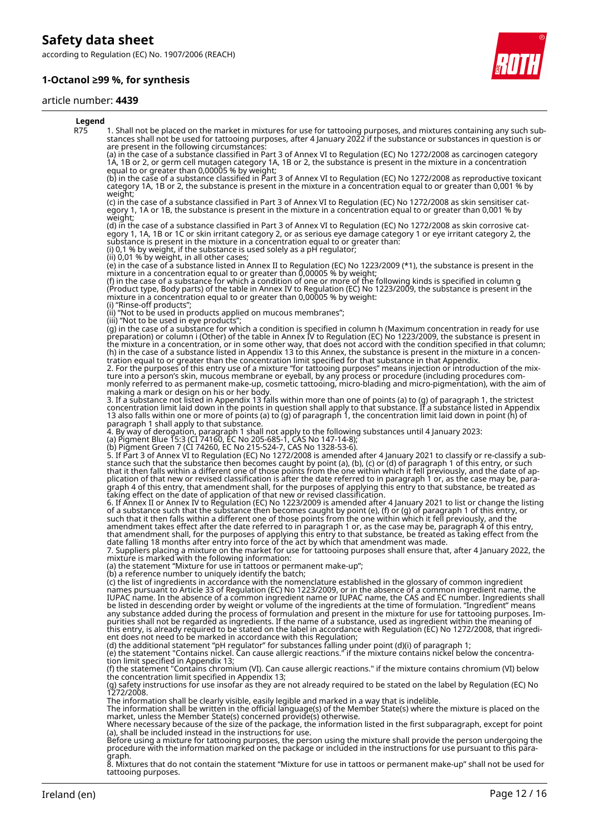according to Regulation (EC) No. 1907/2006 (REACH)

### **1-Octanol ≥99 %, for synthesis**

#### article number: **4439**



#### **Legend** R75 1. Shall not be placed on the market in mixtures for use for tattooing purposes, and mixtures containing any such substances shall not be used for tattooing purposes, after 4 January 2022 if the substance or substances in question is or are present in the following circumstances: (a) in the case of a substance classified in Part 3 of Annex VI to Regulation (EC) No 1272/2008 as carcinogen category 1A, 1B or 2, or germ cell mutagen category 1A, 1B or 2, the substance is present in the mixture in a concentration equal to or greater than 0,00005 % by weight; (b) in the case of a substance classified in Part 3 of Annex VI to Regulation (EC) No 1272/2008 as reproductive toxicant category 1A, 1B or 2, the substance is present in the mixture in a concentration equal to or greater than 0,001 % by weight; (c) in the case of a substance classified in Part 3 of Annex VI to Regulation (EC) No 1272/2008 as skin sensitiser category 1, 1A or 1B, the substance is present in the mixture in a concentration equal to or greater than 0,001 % by weight; (d) in the case of a substance classified in Part 3 of Annex VI to Regulation (EC) No 1272/2008 as skin corrosive category 1, 1A, 1B or 1C or skin irritant category 2, or as serious eye damage category 1 or eye irritant category 2, the substance is present in the mixture in a concentration equal to or greater than: (i) 0,1 % by weight, if the substance is used solely as a pH regulator; (ii) 0,01 % by weight, in all other cases; (e) in the case of a substance listed in Annex II to Regulation (EC) No 1223/2009 (\*1), the substance is present in the mixture in a concentration equal to or greater than 0,00005 % by weight; (f) in the case of a substance for which a condition of one or more of the following kinds is specified in column g (Product type, Body parts) of the table in Annex IV to Regulation (EC) No 1223/2009, the substance is present in the mixture in a concentration equal to or greater than 0,00005 % by weight: (i) "Rinse-off products"; (ii) "Not to be used in products applied on mucous membranes"; (iii) "Not to be used in eye products"; (g) in the case of a substance for which a condition is specified in column h (Maximum concentration in ready for use preparation) or column i (Other) of the table in Annex IV to Regulation (EC) No 1223/2009, the substance is present in the mixture in a concentration, or in some other way, that does not accord with the condition specified in that column; (h) in the case of a substance listed in Appendix 13 to this Annex, the substance is present in the mixture in a concentration equal to or greater than the concentration limit specified for that substance in that Appendix. 2. For the purposes of this entry use of a mixture "for tattooing purposes" means injection or introduction of the mixture into a person's skin, mucous membrane or eyeball, by any process or procedure (including procedures commonly referred to as permanent make-up, cosmetic tattooing, micro-blading and micro-pigmentation), with the aim of making a mark or design on his or her body. 3. If a substance not listed in Appendix 13 falls within more than one of points (a) to (g) of paragraph 1, the strictest concentration limit laid down in the points in question shall apply to that substance. If a substance listed in Appendix 13 also falls within one or more of points (a) to (g) of paragraph 1, the concentration limit laid down in point (h) of paragraph 1 shall apply to that substance. 4. By way of derogation, paragraph 1 shall not apply to the following substances until 4 January 2023: (a) Pigment Blue 15:3 (CI 74160, EC No 205-685-1, CAS No 147-14-8); (b) Pigment Green 7 (CI 74260, EC No 215-524-7, CAS No 1328-53-6). 5. If Part 3 of Annex VI to Regulation (EC) No 1272/2008 is amended after 4 January 2021 to classify or re-classify a substance such that the substance then becomes caught by point (a), (b), (c) or (d) of paragraph 1 of this entry, or such that it then falls within a different one of those points from the one within which it fell previously, and the date of application of that new or revised classification is after the date referred to in paragraph 1 or, as the case may be, paragraph 4 of this entry, that amendment shall, for the purposes of applying this entry to that substance, be treated as taking effect on the date of application of that new or revised classification. 6. If Annex II or Annex IV to Regulation (EC) No 1223/2009 is amended after 4 January 2021 to list or change the listing of a substance such that the substance then becomes caught by point (e), (f) or (g) of paragraph 1 of this entry, or such that it then falls within a different one of those points from the one within which it fell previously, and the amendment takes effect after the date referred to in paragraph 1 or, as the case may be, paragraph 4 of this entry, that amendment shall, for the purposes of applying this entry to that substance, be treated as taking effect from the date falling 18 months after entry into force of the act by which that amendment was made. 7. Suppliers placing a mixture on the market for use for tattooing purposes shall ensure that, after 4 January 2022, the mixture is marked with the following information: (a) the statement "Mixture for use in tattoos or permanent make-up"; (b) a reference number to uniquely identify the batch; (c) the list of ingredients in accordance with the nomenclature established in the glossary of common ingredient names pursuant to Article 33 of Regulation (EC) No 1223/2009, or in the absence of a common ingredient name, the IUPAC name. In the absence of a common ingredient name or IUPAC name, the CAS and EC number. Ingredients shall be listed in descending order by weight or volume of the ingredients at the time of formulation. "Ingredient" means any substance added during the process of formulation and present in the mixture for use for tattooing purposes. Impurities shall not be regarded as ingredients. If the name of a substance, used as ingredient within the meaning of this entry, is already required to be stated on the label in accordance with Regulation (EC) No 1272/2008, that ingredient does not need to be marked in accordance with this Regulation; (d) the additional statement "pH regulator" for substances falling under point (d)(i) of paragraph 1; (e) the statement "Contains nickel. Can cause allergic reactions." if the mixture contains nickel below the concentration limit specified in Appendix 13; (f) the statement "Contains chromium (VI). Can cause allergic reactions." if the mixture contains chromium (VI) below the concentration limit specified in Appendix 13; (g) safety instructions for use insofar as they are not already required to be stated on the label by Regulation (EC) No 1272/2008. The information shall be clearly visible, easily legible and marked in a way that is indelible.<br>The information shall be written in the official language(s) of the Member State(s) where the mixture is placed on the<br>market, Where necessary because of the size of the package, the information listed in the first subparagraph, except for point (a), shall be included instead in the instructions for use. Before using a mixture for tattooing purposes, the person using the mixture shall provide the person undergoing the procedure with the information marked on the package or included in the instructions for use pursuant to this para-

graph. 8. Mixtures that do not contain the statement "Mixture for use in tattoos or permanent make-up" shall not be used for tattooing purposes.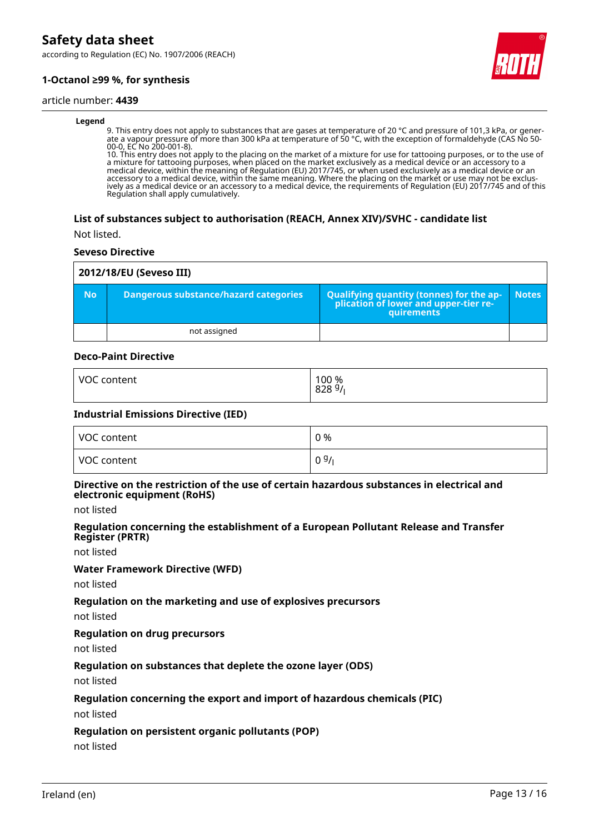according to Regulation (EC) No. 1907/2006 (REACH)

# **1-Octanol ≥99 %, for synthesis**

#### article number: **4439**

#### **Legend**

9. This entry does not apply to substances that are gases at temperature of 20 °C and pressure of 101,3 kPa, or generate a vapour pressure of more than 300 kPa at temperature of 50 °C, with the exception of formaldehyde (CAS No 50- 00-0, EC No 200-001-8).

10. This entry does not apply to the placing on the market of a mixture for use for tattooing purposes, or to the use of a mixture for tattooing purposes, when placed on the market exclusively as a medical device or an accessory to a medical device, within the meaning of Regulation (EU) 2017/745, or when used exclusively as a medical device or an accessory to a medical device, within the same meaning. Where the placing on the market or use may not be exclusively as a medical device or an accessory to a medical device, the requirements of Regulation (EU) 2017/745 and of this Regulation shall apply cumulatively.

#### **List of substances subject to authorisation (REACH, Annex XIV)/SVHC - candidate list**

Not listed.

#### **Seveso Directive**

| 2012/18/EU (Seveso III) |                                       |                                                                                                          |              |
|-------------------------|---------------------------------------|----------------------------------------------------------------------------------------------------------|--------------|
| <b>No</b>               | Dangerous substance/hazard categories | Qualifying quantity (tonnes) for the ap-<br>  plication of lower and upper-tier re-<br><b>auirements</b> | <b>Notes</b> |
|                         | not assigned                          |                                                                                                          |              |

#### **Deco-Paint Directive**

| <b>VOC</b> | 100 %            |
|------------|------------------|
| content    | $828\frac{9}{1}$ |
|            |                  |

#### **Industrial Emissions Directive (IED)**

| VOC content | 0 %  |
|-------------|------|
| VOC content | 09/1 |

#### **Directive on the restriction of the use of certain hazardous substances in electrical and electronic equipment (RoHS)**

not listed

#### **Regulation concerning the establishment of a European Pollutant Release and Transfer Register (PRTR)**

not listed

#### **Water Framework Directive (WFD)**

not listed

#### **Regulation on the marketing and use of explosives precursors**

not listed

#### **Regulation on drug precursors**

not listed

#### **Regulation on substances that deplete the ozone layer (ODS)**

not listed

#### **Regulation concerning the export and import of hazardous chemicals (PIC)**

not listed

#### **Regulation on persistent organic pollutants (POP)**

not listed

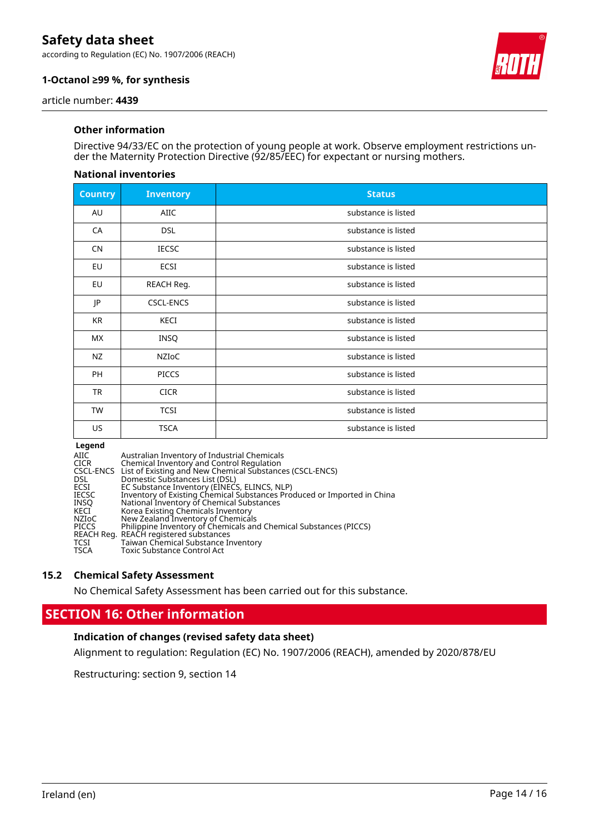according to Regulation (EC) No. 1907/2006 (REACH)



# **1-Octanol ≥99 %, for synthesis**

article number: **4439**

### **Other information**

Directive 94/33/EC on the protection of young people at work. Observe employment restrictions under the Maternity Protection Directive (92/85/EEC) for expectant or nursing mothers.

#### **National inventories**

| <b>Country</b> | <b>Inventory</b> | <b>Status</b>       |
|----------------|------------------|---------------------|
| AU             | <b>AIIC</b>      | substance is listed |
| CA             | <b>DSL</b>       | substance is listed |
| <b>CN</b>      | <b>IECSC</b>     | substance is listed |
| EU             | ECSI             | substance is listed |
| EU             | REACH Reg.       | substance is listed |
| JP             | <b>CSCL-ENCS</b> | substance is listed |
| KR             | KECI             | substance is listed |
| МX             | INSQ             | substance is listed |
| <b>NZ</b>      | NZIOC            | substance is listed |
| PH             | <b>PICCS</b>     | substance is listed |
| <b>TR</b>      | <b>CICR</b>      | substance is listed |
| TW             | <b>TCSI</b>      | substance is listed |
| US.            | <b>TSCA</b>      | substance is listed |

#### **Legend**

| AIIC         | Australian Inventory of Industrial Chemicals                            |
|--------------|-------------------------------------------------------------------------|
| CICR         | Chemical Inventory and Control Regulation                               |
|              | CSCL-ENCS List of Existing and New Chemical Substances (CSCL-ENCS)      |
| DSL.         | Domestic Substances List (DSL)                                          |
| ECSI         | EC Substance Inventory (EINECS, ELINCS, NLP)                            |
| IECSC        | Inventory of Existing Chemical Substances Produced or Imported in China |
| INSO         | National Inventory of Chemical Substances                               |
| KECI         | Korea Existing Chemicals Inventory                                      |
| NZIoC        | New Zealand Inventory of Chemicals                                      |
| <b>PICCS</b> | Philippine Inventory of Chemicals and Chemical Substances (PICCS)       |
|              | REACH Reg. REACH registered substances                                  |
| TCSI         | Taiwan Chemical Substance Inventory                                     |
| TSCA         | <b>Toxic Substance Control Act</b>                                      |
|              |                                                                         |

#### **15.2 Chemical Safety Assessment**

No Chemical Safety Assessment has been carried out for this substance.

# **SECTION 16: Other information**

#### **Indication of changes (revised safety data sheet)**

Alignment to regulation: Regulation (EC) No. 1907/2006 (REACH), amended by 2020/878/EU

Restructuring: section 9, section 14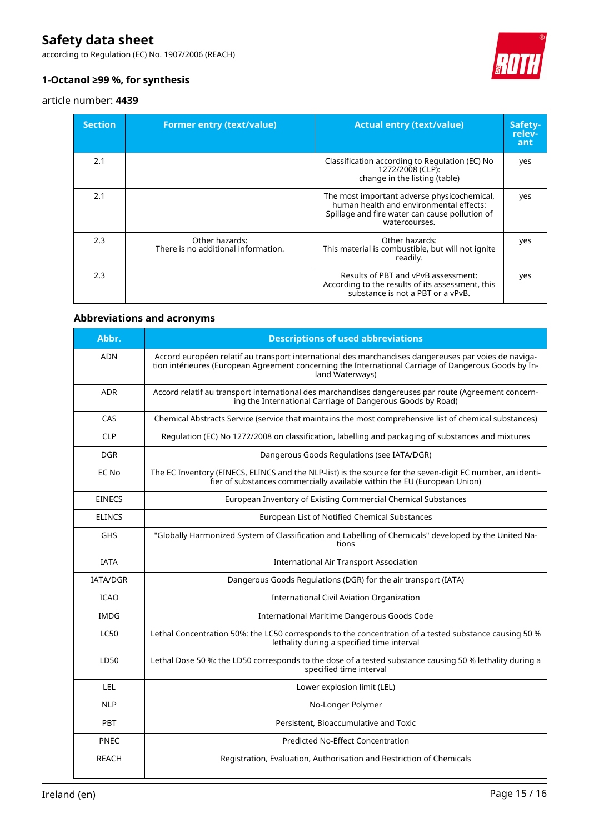according to Regulation (EC) No. 1907/2006 (REACH)



# **1-Octanol ≥99 %, for synthesis**

### article number: **4439**

| <b>Section</b> | <b>Former entry (text/value)</b>                      | <b>Actual entry (text/value)</b>                                                                                                                          | Safety-<br>relev-<br>ant |
|----------------|-------------------------------------------------------|-----------------------------------------------------------------------------------------------------------------------------------------------------------|--------------------------|
| 2.1            |                                                       | Classification according to Regulation (EC) No<br>1272/2008 (CLP):<br>change in the listing (table)                                                       | yes                      |
| 2.1            |                                                       | The most important adverse physicochemical,<br>human health and environmental effects:<br>Spillage and fire water can cause pollution of<br>watercourses. | yes                      |
| 2.3            | Other hazards:<br>There is no additional information. | Other hazards:<br>This material is combustible, but will not ignite<br>readily.                                                                           | yes                      |
| 2.3            |                                                       | Results of PBT and vPvB assessment:<br>According to the results of its assessment, this<br>substance is not a PBT or a vPvB.                              | yes                      |

# **Abbreviations and acronyms**

| Abbr.           | <b>Descriptions of used abbreviations</b>                                                                                                                                                                                       |
|-----------------|---------------------------------------------------------------------------------------------------------------------------------------------------------------------------------------------------------------------------------|
| <b>ADN</b>      | Accord européen relatif au transport international des marchandises dangereuses par voies de naviga-<br>tion intérieures (European Agreement concerning the International Carriage of Dangerous Goods by In-<br>land Waterways) |
| <b>ADR</b>      | Accord relatif au transport international des marchandises dangereuses par route (Agreement concern-<br>ing the International Carriage of Dangerous Goods by Road)                                                              |
| CAS             | Chemical Abstracts Service (service that maintains the most comprehensive list of chemical substances)                                                                                                                          |
| <b>CLP</b>      | Regulation (EC) No 1272/2008 on classification, labelling and packaging of substances and mixtures                                                                                                                              |
| <b>DGR</b>      | Dangerous Goods Regulations (see IATA/DGR)                                                                                                                                                                                      |
| EC No           | The EC Inventory (EINECS, ELINCS and the NLP-list) is the source for the seven-digit EC number, an identi-<br>fier of substances commercially available within the EU (European Union)                                          |
| <b>EINECS</b>   | European Inventory of Existing Commercial Chemical Substances                                                                                                                                                                   |
| <b>ELINCS</b>   | European List of Notified Chemical Substances                                                                                                                                                                                   |
| <b>GHS</b>      | "Globally Harmonized System of Classification and Labelling of Chemicals" developed by the United Na-<br>tions                                                                                                                  |
| <b>IATA</b>     | <b>International Air Transport Association</b>                                                                                                                                                                                  |
| <b>IATA/DGR</b> | Dangerous Goods Regulations (DGR) for the air transport (IATA)                                                                                                                                                                  |
| <b>ICAO</b>     | <b>International Civil Aviation Organization</b>                                                                                                                                                                                |
| <b>IMDG</b>     | International Maritime Dangerous Goods Code                                                                                                                                                                                     |
| <b>LC50</b>     | Lethal Concentration 50%: the LC50 corresponds to the concentration of a tested substance causing 50 %<br>lethality during a specified time interval                                                                            |
| LD50            | Lethal Dose 50 %: the LD50 corresponds to the dose of a tested substance causing 50 % lethality during a<br>specified time interval                                                                                             |
| LEL.            | Lower explosion limit (LEL)                                                                                                                                                                                                     |
| <b>NLP</b>      | No-Longer Polymer                                                                                                                                                                                                               |
| PBT             | Persistent, Bioaccumulative and Toxic                                                                                                                                                                                           |
| <b>PNEC</b>     | <b>Predicted No-Effect Concentration</b>                                                                                                                                                                                        |
| <b>REACH</b>    | Registration, Evaluation, Authorisation and Restriction of Chemicals                                                                                                                                                            |